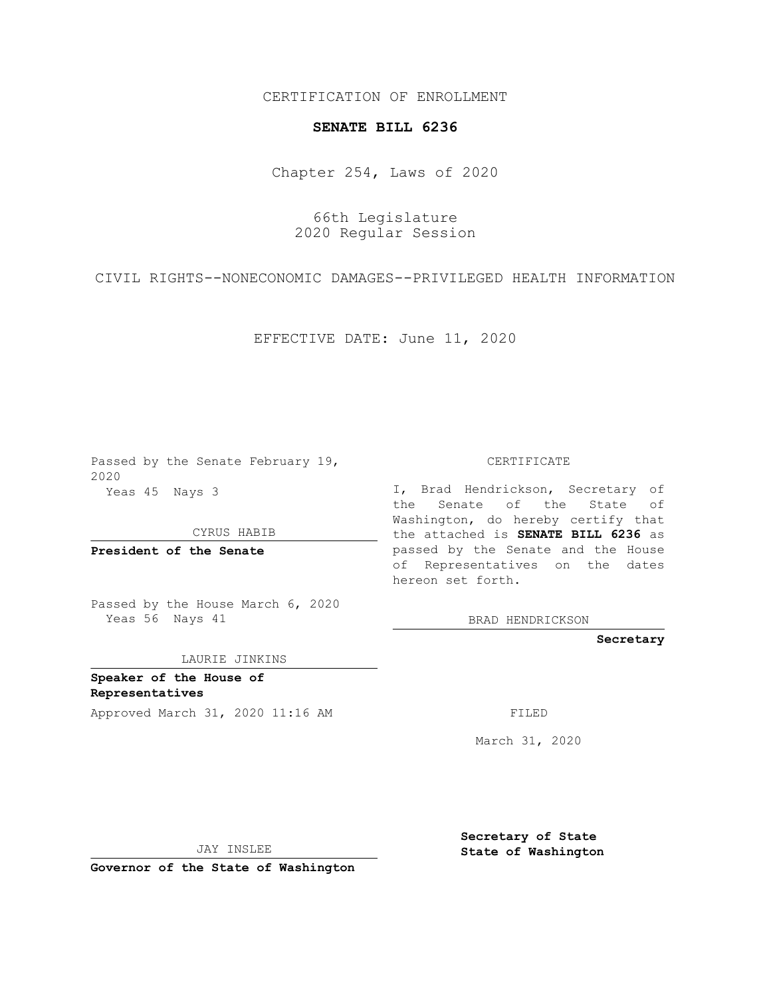CERTIFICATION OF ENROLLMENT

## **SENATE BILL 6236**

Chapter 254, Laws of 2020

66th Legislature 2020 Regular Session

CIVIL RIGHTS--NONECONOMIC DAMAGES--PRIVILEGED HEALTH INFORMATION

EFFECTIVE DATE: June 11, 2020

Passed by the Senate February 19, 2020 Yeas 45 Nays 3

CYRUS HABIB

**President of the Senate**

Passed by the House March 6, 2020 Yeas 56 Nays 41

LAURIE JINKINS

**Speaker of the House of Representatives**

Approved March 31, 2020 11:16 AM

CERTIFICATE

I, Brad Hendrickson, Secretary of the Senate of the State of Washington, do hereby certify that the attached is **SENATE BILL 6236** as passed by the Senate and the House of Representatives on the dates hereon set forth.

BRAD HENDRICKSON

**Secretary**

March 31, 2020

JAY INSLEE

**Governor of the State of Washington**

**Secretary of State State of Washington**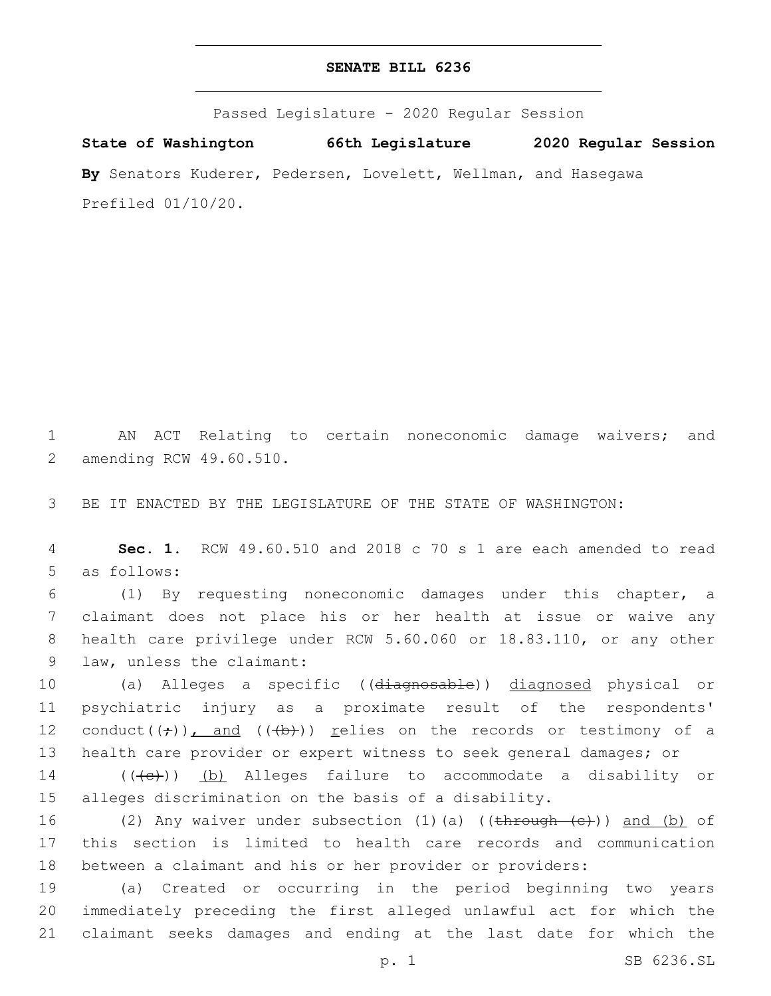## **SENATE BILL 6236**

Passed Legislature - 2020 Regular Session

**State of Washington 66th Legislature 2020 Regular Session By** Senators Kuderer, Pedersen, Lovelett, Wellman, and Hasegawa Prefiled 01/10/20.

1 AN ACT Relating to certain noneconomic damage waivers; and 2 amending RCW 49.60.510.

3 BE IT ENACTED BY THE LEGISLATURE OF THE STATE OF WASHINGTON:

4 **Sec. 1.** RCW 49.60.510 and 2018 c 70 s 1 are each amended to read 5 as follows:

 (1) By requesting noneconomic damages under this chapter, a claimant does not place his or her health at issue or waive any health care privilege under RCW 5.60.060 or 18.83.110, or any other 9 law, unless the claimant:

 (a) Alleges a specific ((diagnosable)) diagnosed physical or psychiatric injury as a proximate result of the respondents' 12 conduct( $(\div)$ ), and ( $(\leftrightarrow)$ )) relies on the records or testimony of a health care provider or expert witness to seek general damages; or

14 (((e)) (b) Alleges failure to accommodate a disability or 15 alleges discrimination on the basis of a disability.

16 (2) Any waiver under subsection (1)(a) ((through (c))) and (b) of 17 this section is limited to health care records and communication 18 between a claimant and his or her provider or providers:

19 (a) Created or occurring in the period beginning two years 20 immediately preceding the first alleged unlawful act for which the 21 claimant seeks damages and ending at the last date for which the

p. 1 SB 6236.SL